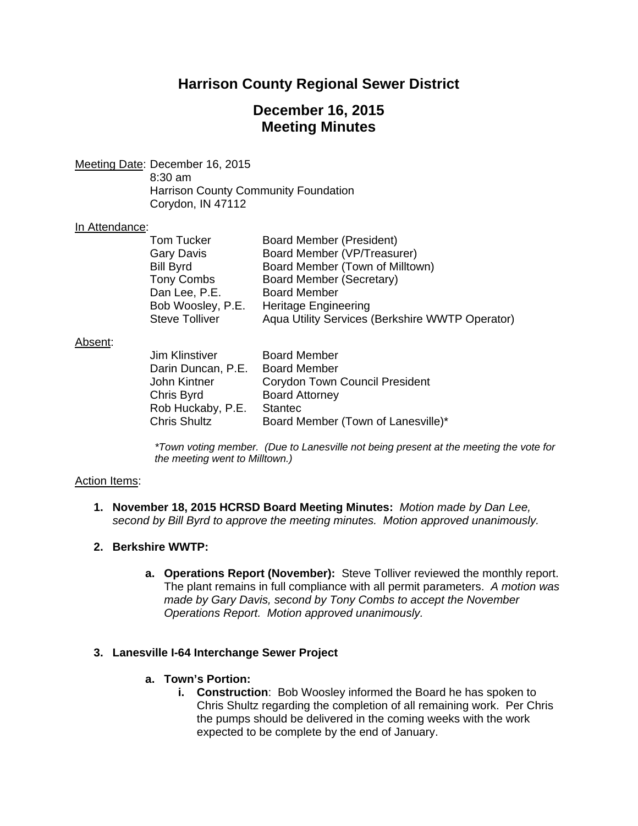# **Harrison County Regional Sewer District**

# **December 16, 2015 Meeting Minutes**

Meeting Date: December 16, 2015 8:30 am

 Harrison County Community Foundation Corydon, IN 47112

#### In Attendance:

| Board Member (President)                        |
|-------------------------------------------------|
| Board Member (VP/Treasurer)                     |
| Board Member (Town of Milltown)                 |
| Board Member (Secretary)                        |
| <b>Board Member</b>                             |
| <b>Heritage Engineering</b>                     |
| Aqua Utility Services (Berkshire WWTP Operator) |
|                                                 |

#### Absent:

| <b>Board Member</b>                   |
|---------------------------------------|
| <b>Board Member</b>                   |
| <b>Corydon Town Council President</b> |
| <b>Board Attorney</b>                 |
| <b>Stantec</b>                        |
| Board Member (Town of Lanesville)*    |
|                                       |

*\*Town voting member. (Due to Lanesville not being present at the meeting the vote for the meeting went to Milltown.)* 

#### Action Items:

**1. November 18, 2015 HCRSD Board Meeting Minutes:** *Motion made by Dan Lee, second by Bill Byrd to approve the meeting minutes. Motion approved unanimously.*

## **2. Berkshire WWTP:**

**a. Operations Report (November):** Steve Tolliver reviewed the monthly report. The plant remains in full compliance with all permit parameters. *A motion was made by Gary Davis, second by Tony Combs to accept the November Operations Report. Motion approved unanimously.*

## **3. Lanesville I-64 Interchange Sewer Project**

## **a. Town's Portion:**

**i. Construction**: Bob Woosley informed the Board he has spoken to Chris Shultz regarding the completion of all remaining work. Per Chris the pumps should be delivered in the coming weeks with the work expected to be complete by the end of January.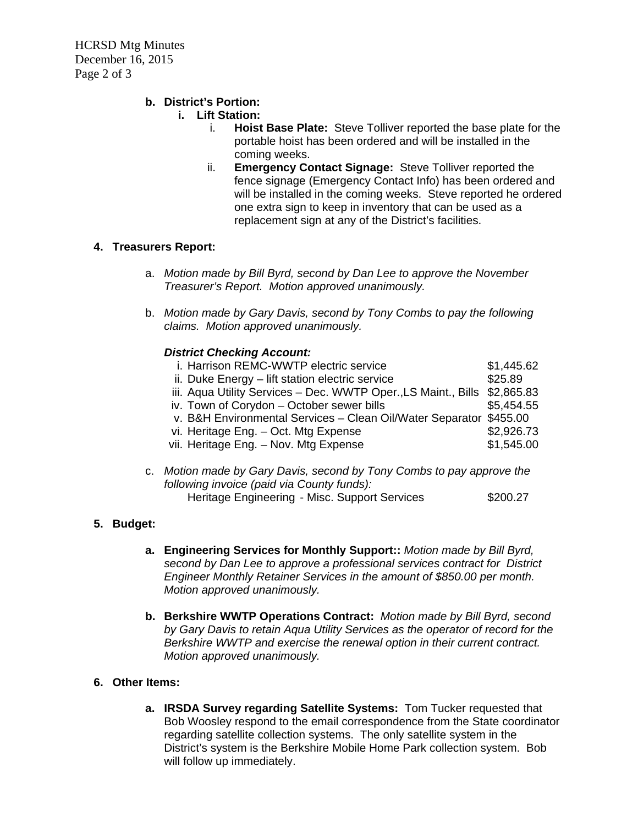## **b. District's Portion:**

- **i. Lift Station:**
	- i. **Hoist Base Plate:** Steve Tolliver reported the base plate for the portable hoist has been ordered and will be installed in the coming weeks.
	- ii. **Emergency Contact Signage:** Steve Tolliver reported the fence signage (Emergency Contact Info) has been ordered and will be installed in the coming weeks. Steve reported he ordered one extra sign to keep in inventory that can be used as a replacement sign at any of the District's facilities.

# **4. Treasurers Report:**

- a. *Motion made by Bill Byrd, second by Dan Lee to approve the November Treasurer's Report. Motion approved unanimously.*
- b. *Motion made by Gary Davis, second by Tony Combs to pay the following claims. Motion approved unanimously.*

#### *District Checking Account:*

| i. Harrison REMC-WWTP electric service                                    | \$1,445.62 |
|---------------------------------------------------------------------------|------------|
| ii. Duke Energy - lift station electric service                           | \$25.89    |
| iii. Aqua Utility Services - Dec. WWTP Oper., LS Maint., Bills \$2,865.83 |            |
| iv. Town of Corydon - October sewer bills                                 | \$5,454.55 |
| v. B&H Environmental Services - Clean Oil/Water Separator \$455.00        |            |
| vi. Heritage Eng. - Oct. Mtg Expense                                      | \$2,926.73 |
| vii. Heritage Eng. - Nov. Mtg Expense                                     | \$1,545.00 |
|                                                                           |            |

c. *Motion made by Gary Davis, second by Tony Combs to pay approve the following invoice (paid via County funds):*  Heritage Engineering - Misc. Support Services \$200.27

## **5. Budget:**

- **a. Engineering Services for Monthly Support::** *Motion made by Bill Byrd, second by Dan Lee to approve a professional services contract for District Engineer Monthly Retainer Services in the amount of \$850.00 per month. Motion approved unanimously.*
- **b. Berkshire WWTP Operations Contract:** *Motion made by Bill Byrd, second by Gary Davis to retain Aqua Utility Services as the operator of record for the Berkshire WWTP and exercise the renewal option in their current contract. Motion approved unanimously.*

## **6. Other Items:**

**a. IRSDA Survey regarding Satellite Systems:** Tom Tucker requested that Bob Woosley respond to the email correspondence from the State coordinator regarding satellite collection systems. The only satellite system in the District's system is the Berkshire Mobile Home Park collection system. Bob will follow up immediately.